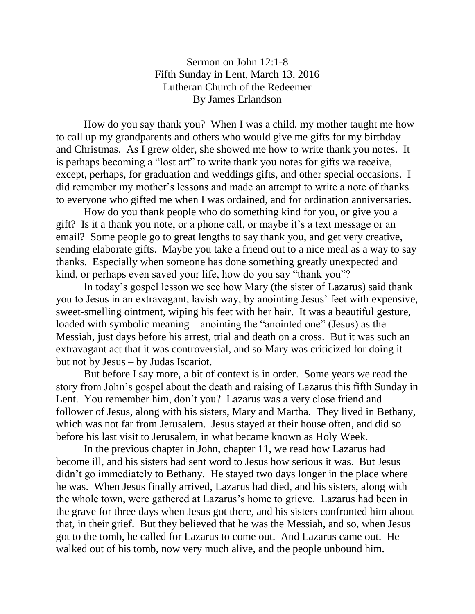Sermon on John 12:1-8 Fifth Sunday in Lent, March 13, 2016 Lutheran Church of the Redeemer By James Erlandson

How do you say thank you? When I was a child, my mother taught me how to call up my grandparents and others who would give me gifts for my birthday and Christmas. As I grew older, she showed me how to write thank you notes. It is perhaps becoming a "lost art" to write thank you notes for gifts we receive, except, perhaps, for graduation and weddings gifts, and other special occasions. I did remember my mother's lessons and made an attempt to write a note of thanks to everyone who gifted me when I was ordained, and for ordination anniversaries.

How do you thank people who do something kind for you, or give you a gift? Is it a thank you note, or a phone call, or maybe it's a text message or an email? Some people go to great lengths to say thank you, and get very creative, sending elaborate gifts. Maybe you take a friend out to a nice meal as a way to say thanks. Especially when someone has done something greatly unexpected and kind, or perhaps even saved your life, how do you say "thank you"?

In today's gospel lesson we see how Mary (the sister of Lazarus) said thank you to Jesus in an extravagant, lavish way, by anointing Jesus' feet with expensive, sweet-smelling ointment, wiping his feet with her hair. It was a beautiful gesture, loaded with symbolic meaning – anointing the "anointed one" (Jesus) as the Messiah, just days before his arrest, trial and death on a cross. But it was such an extravagant act that it was controversial, and so Mary was criticized for doing it – but not by Jesus – by Judas Iscariot.

But before I say more, a bit of context is in order. Some years we read the story from John's gospel about the death and raising of Lazarus this fifth Sunday in Lent. You remember him, don't you? Lazarus was a very close friend and follower of Jesus, along with his sisters, Mary and Martha. They lived in Bethany, which was not far from Jerusalem. Jesus stayed at their house often, and did so before his last visit to Jerusalem, in what became known as Holy Week.

In the previous chapter in John, chapter 11, we read how Lazarus had become ill, and his sisters had sent word to Jesus how serious it was. But Jesus didn't go immediately to Bethany. He stayed two days longer in the place where he was. When Jesus finally arrived, Lazarus had died, and his sisters, along with the whole town, were gathered at Lazarus's home to grieve. Lazarus had been in the grave for three days when Jesus got there, and his sisters confronted him about that, in their grief. But they believed that he was the Messiah, and so, when Jesus got to the tomb, he called for Lazarus to come out. And Lazarus came out. He walked out of his tomb, now very much alive, and the people unbound him.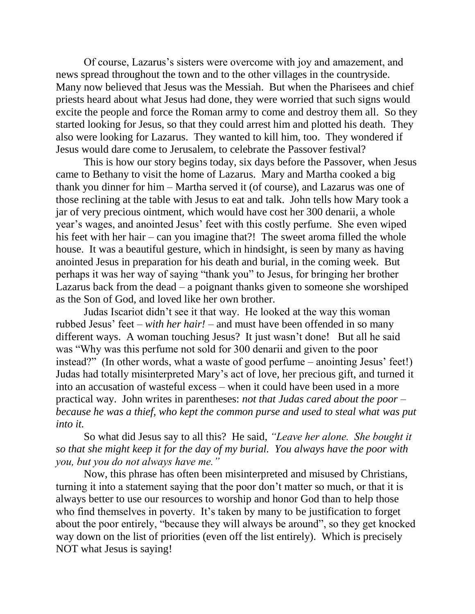Of course, Lazarus's sisters were overcome with joy and amazement, and news spread throughout the town and to the other villages in the countryside. Many now believed that Jesus was the Messiah. But when the Pharisees and chief priests heard about what Jesus had done, they were worried that such signs would excite the people and force the Roman army to come and destroy them all. So they started looking for Jesus, so that they could arrest him and plotted his death. They also were looking for Lazarus. They wanted to kill him, too. They wondered if Jesus would dare come to Jerusalem, to celebrate the Passover festival?

This is how our story begins today, six days before the Passover, when Jesus came to Bethany to visit the home of Lazarus. Mary and Martha cooked a big thank you dinner for him – Martha served it (of course), and Lazarus was one of those reclining at the table with Jesus to eat and talk. John tells how Mary took a jar of very precious ointment, which would have cost her 300 denarii, a whole year's wages, and anointed Jesus' feet with this costly perfume. She even wiped his feet with her hair – can you imagine that?! The sweet aroma filled the whole house. It was a beautiful gesture, which in hindsight, is seen by many as having anointed Jesus in preparation for his death and burial, in the coming week. But perhaps it was her way of saying "thank you" to Jesus, for bringing her brother Lazarus back from the dead – a poignant thanks given to someone she worshiped as the Son of God, and loved like her own brother.

Judas Iscariot didn't see it that way. He looked at the way this woman rubbed Jesus' feet – *with her hair!* – and must have been offended in so many different ways. A woman touching Jesus? It just wasn't done! But all he said was "Why was this perfume not sold for 300 denarii and given to the poor instead?" (In other words, what a waste of good perfume – anointing Jesus' feet!) Judas had totally misinterpreted Mary's act of love, her precious gift, and turned it into an accusation of wasteful excess – when it could have been used in a more practical way. John writes in parentheses: *not that Judas cared about the poor – because he was a thief, who kept the common purse and used to steal what was put into it.*

So what did Jesus say to all this? He said, *"Leave her alone. She bought it so that she might keep it for the day of my burial. You always have the poor with you, but you do not always have me."*

Now, this phrase has often been misinterpreted and misused by Christians, turning it into a statement saying that the poor don't matter so much, or that it is always better to use our resources to worship and honor God than to help those who find themselves in poverty. It's taken by many to be justification to forget about the poor entirely, "because they will always be around", so they get knocked way down on the list of priorities (even off the list entirely). Which is precisely NOT what Jesus is saying!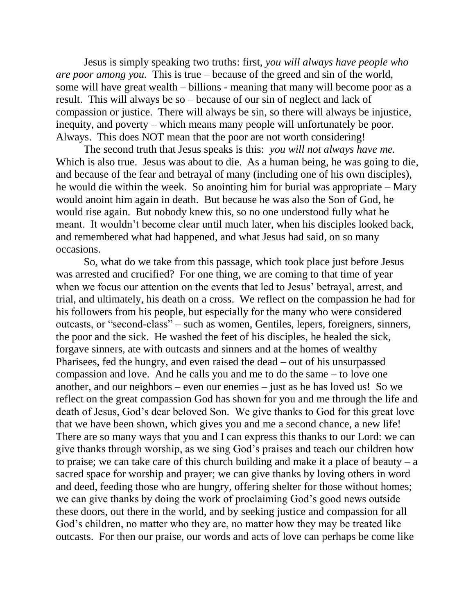Jesus is simply speaking two truths: first, *you will always have people who are poor among you.* This is true – because of the greed and sin of the world, some will have great wealth – billions - meaning that many will become poor as a result. This will always be so – because of our sin of neglect and lack of compassion or justice. There will always be sin, so there will always be injustice, inequity, and poverty – which means many people will unfortunately be poor. Always. This does NOT mean that the poor are not worth considering!

The second truth that Jesus speaks is this: *you will not always have me.* Which is also true. Jesus was about to die. As a human being, he was going to die, and because of the fear and betrayal of many (including one of his own disciples), he would die within the week. So anointing him for burial was appropriate – Mary would anoint him again in death. But because he was also the Son of God, he would rise again. But nobody knew this, so no one understood fully what he meant. It wouldn't become clear until much later, when his disciples looked back, and remembered what had happened, and what Jesus had said, on so many occasions.

So, what do we take from this passage, which took place just before Jesus was arrested and crucified? For one thing, we are coming to that time of year when we focus our attention on the events that led to Jesus' betrayal, arrest, and trial, and ultimately, his death on a cross. We reflect on the compassion he had for his followers from his people, but especially for the many who were considered outcasts, or "second-class" – such as women, Gentiles, lepers, foreigners, sinners, the poor and the sick. He washed the feet of his disciples, he healed the sick, forgave sinners, ate with outcasts and sinners and at the homes of wealthy Pharisees, fed the hungry, and even raised the dead – out of his unsurpassed compassion and love. And he calls you and me to do the same – to love one another, and our neighbors – even our enemies – just as he has loved us! So we reflect on the great compassion God has shown for you and me through the life and death of Jesus, God's dear beloved Son. We give thanks to God for this great love that we have been shown, which gives you and me a second chance, a new life! There are so many ways that you and I can express this thanks to our Lord: we can give thanks through worship, as we sing God's praises and teach our children how to praise; we can take care of this church building and make it a place of beauty  $-a$ sacred space for worship and prayer; we can give thanks by loving others in word and deed, feeding those who are hungry, offering shelter for those without homes; we can give thanks by doing the work of proclaiming God's good news outside these doors, out there in the world, and by seeking justice and compassion for all God's children, no matter who they are, no matter how they may be treated like outcasts. For then our praise, our words and acts of love can perhaps be come like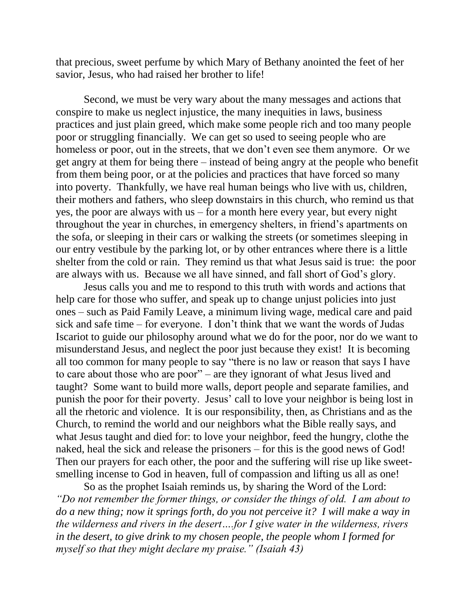that precious, sweet perfume by which Mary of Bethany anointed the feet of her savior, Jesus, who had raised her brother to life!

Second, we must be very wary about the many messages and actions that conspire to make us neglect injustice, the many inequities in laws, business practices and just plain greed, which make some people rich and too many people poor or struggling financially. We can get so used to seeing people who are homeless or poor, out in the streets, that we don't even see them anymore. Or we get angry at them for being there – instead of being angry at the people who benefit from them being poor, or at the policies and practices that have forced so many into poverty. Thankfully, we have real human beings who live with us, children, their mothers and fathers, who sleep downstairs in this church, who remind us that yes, the poor are always with us – for a month here every year, but every night throughout the year in churches, in emergency shelters, in friend's apartments on the sofa, or sleeping in their cars or walking the streets (or sometimes sleeping in our entry vestibule by the parking lot, or by other entrances where there is a little shelter from the cold or rain. They remind us that what Jesus said is true: the poor are always with us. Because we all have sinned, and fall short of God's glory.

Jesus calls you and me to respond to this truth with words and actions that help care for those who suffer, and speak up to change unjust policies into just ones – such as Paid Family Leave, a minimum living wage, medical care and paid sick and safe time – for everyone. I don't think that we want the words of Judas Iscariot to guide our philosophy around what we do for the poor, nor do we want to misunderstand Jesus, and neglect the poor just because they exist! It is becoming all too common for many people to say "there is no law or reason that says I have to care about those who are poor" – are they ignorant of what Jesus lived and taught? Some want to build more walls, deport people and separate families, and punish the poor for their poverty. Jesus' call to love your neighbor is being lost in all the rhetoric and violence. It is our responsibility, then, as Christians and as the Church, to remind the world and our neighbors what the Bible really says, and what Jesus taught and died for: to love your neighbor, feed the hungry, clothe the naked, heal the sick and release the prisoners – for this is the good news of God! Then our prayers for each other, the poor and the suffering will rise up like sweetsmelling incense to God in heaven, full of compassion and lifting us all as one!

So as the prophet Isaiah reminds us, by sharing the Word of the Lord: *"Do not remember the former things, or consider the things of old. I am about to do a new thing; now it springs forth, do you not perceive it? I will make a way in the wilderness and rivers in the desert….for I give water in the wilderness, rivers in the desert, to give drink to my chosen people, the people whom I formed for myself so that they might declare my praise." (Isaiah 43)*